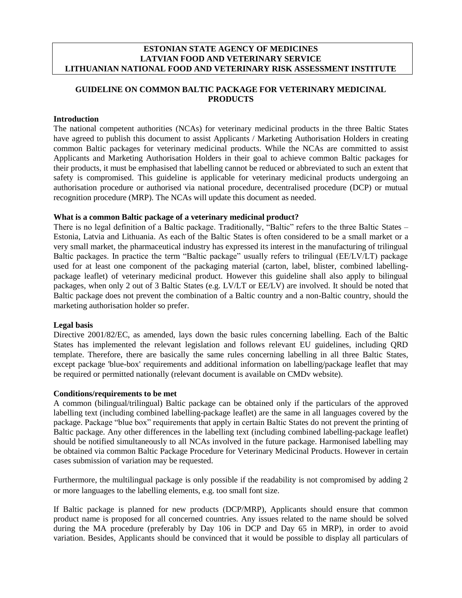#### **ESTONIAN STATE AGENCY OF MEDICINES LATVIAN FOOD AND VETERINARY SERVICE LITHUANIAN NATIONAL FOOD AND VETERINARY RISK ASSESSMENT INSTITUTE**

# **GUIDELINE ON COMMON BALTIC PACKAGE FOR VETERINARY MEDICINAL PRODUCTS**

#### **Introduction**

The national competent authorities (NCAs) for veterinary medicinal products in the three Baltic States have agreed to publish this document to assist Applicants / Marketing Authorisation Holders in creating common Baltic packages for veterinary medicinal products. While the NCAs are committed to assist Applicants and Marketing Authorisation Holders in their goal to achieve common Baltic packages for their products, it must be emphasised that labelling cannot be reduced or abbreviated to such an extent that safety is compromised. This guideline is applicable for veterinary medicinal products undergoing an authorisation procedure or authorised via national procedure, decentralised procedure (DCP) or mutual recognition procedure (MRP). The NCAs will update this document as needed.

#### **What is a common Baltic package of a veterinary medicinal product?**

There is no legal definition of a Baltic package. Traditionally, "Baltic" refers to the three Baltic States – Estonia, Latvia and Lithuania. As each of the Baltic States is often considered to be a small market or a very small market, the pharmaceutical industry has expressed its interest in the manufacturing of trilingual Baltic packages. In practice the term "Baltic package" usually refers to trilingual (EE/LV/LT) package used for at least one component of the packaging material (carton, label, blister, combined labellingpackage leaflet) of veterinary medicinal product. However this guideline shall also apply to bilingual packages, when only 2 out of 3 Baltic States (e.g. LV/LT or EE/LV) are involved. It should be noted that Baltic package does not prevent the combination of a Baltic country and a non-Baltic country, should the marketing authorisation holder so prefer.

#### **Legal basis**

Directive 2001/82/EC, as amended, lays down the basic rules concerning labelling. Each of the Baltic States has implemented the relevant legislation and follows relevant EU guidelines, including QRD template. Therefore, there are basically the same rules concerning labelling in all three Baltic States, except package 'blue-box' requirements and additional information on labelling/package leaflet that may be required or permitted nationally (relevant document is available on CMDv website).

#### **Conditions/requirements to be met**

A common (bilingual/trilingual) Baltic package can be obtained only if the particulars of the approved labelling text (including combined labelling-package leaflet) are the same in all languages covered by the package. Package "blue box" requirements that apply in certain Baltic States do not prevent the printing of Baltic package. Any other differences in the labelling text (including combined labelling-package leaflet) should be notified simultaneously to all NCAs involved in the future package. Harmonised labelling may be obtained via common Baltic Package Procedure for Veterinary Medicinal Products. However in certain cases submission of variation may be requested.

Furthermore, the multilingual package is only possible if the readability is not compromised by adding 2 or more languages to the labelling elements, e.g. too small font size.

If Baltic package is planned for new products (DCP/MRP), Applicants should ensure that common product name is proposed for all concerned countries. Any issues related to the name should be solved during the MA procedure (preferably by Day 106 in DCP and Day 65 in MRP), in order to avoid variation. Besides, Applicants should be convinced that it would be possible to display all particulars of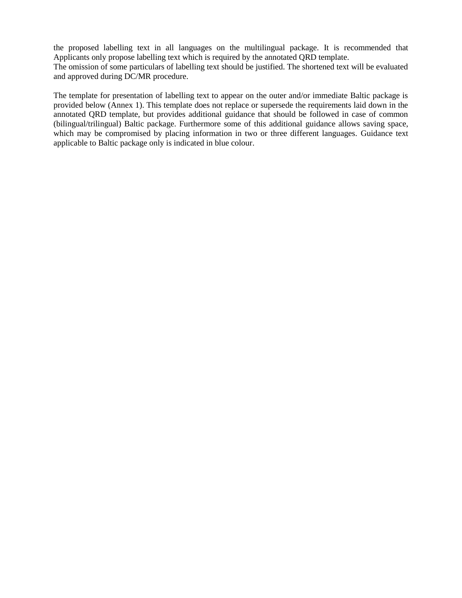the proposed labelling text in all languages on the multilingual package. It is recommended that Applicants only propose labelling text which is required by the annotated QRD template. The omission of some particulars of labelling text should be justified. The shortened text will be evaluated and approved during DC/MR procedure.

The template for presentation of labelling text to appear on the outer and/or immediate Baltic package is provided below (Annex 1). This template does not replace or supersede the requirements laid down in the annotated QRD template, but provides additional guidance that should be followed in case of common (bilingual/trilingual) Baltic package. Furthermore some of this additional guidance allows saving space, which may be compromised by placing information in two or three different languages. Guidance text applicable to Baltic package only is indicated in blue colour.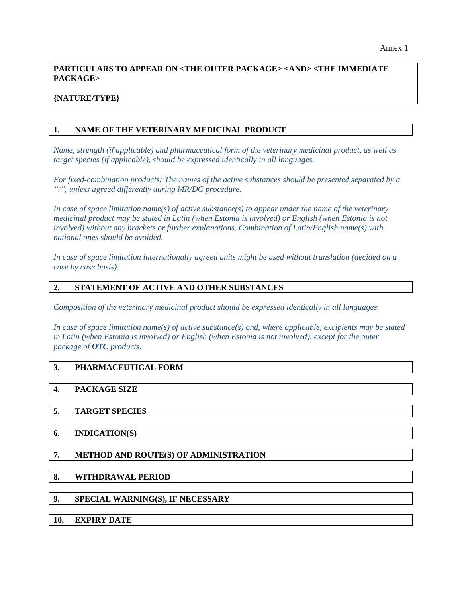# **PARTICULARS TO APPEAR ON <THE OUTER PACKAGE> <AND> <THE IMMEDIATE PACKAGE>**

# **{NATURE/TYPE}**

### **1. NAME OF THE VETERINARY MEDICINAL PRODUCT**

*Name, strength (if applicable) and pharmaceutical form of the veterinary medicinal product, as well as target species (if applicable), should be expressed identically in all languages.*

*For fixed-combination products: The names of the active substances should be presented separated by a "/", unless agreed differently during MR/DC procedure.*

*In case of space limitation name(s) of active substance(s) to appear under the name of the veterinary medicinal product may be stated in Latin (when Estonia is involved) or English (when Estonia is not involved) without any brackets or further explanations. Combination of Latin/English name(s) with national ones should be avoided.*

*In case of space limitation internationally agreed units might be used without translation (decided on a case by case basis).*

#### **2. STATEMENT OF ACTIVE AND OTHER SUBSTANCES**

*Composition of the veterinary medicinal product should be expressed identically in all languages.*

*In case of space limitation name(s) of active substance(s) and, where applicable, excipients may be stated in Latin (when Estonia is involved) or English (when Estonia is not involved), except for the outer package of OTC products.*

# **3. PHARMACEUTICAL FORM**

#### **4. PACKAGE SIZE**

#### **5. TARGET SPECIES**

**6. INDICATION(S)** 

# **7. METHOD AND ROUTE(S) OF ADMINISTRATION**

#### **8. WITHDRAWAL PERIOD**

# **9. SPECIAL WARNING(S), IF NECESSARY**

#### **10. EXPIRY DATE**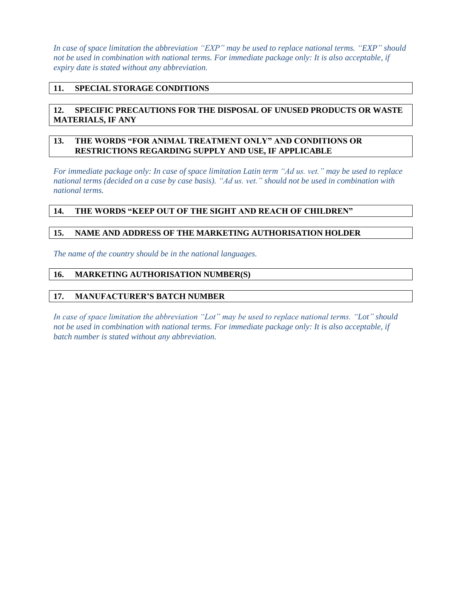*In case of space limitation the abbreviation "EXP" may be used to replace national terms. "EXP" should not be used in combination with national terms. For immediate package only: It is also acceptable, if expiry date is stated without any abbreviation.*

## **11. SPECIAL STORAGE CONDITIONS**

# **12. SPECIFIC PRECAUTIONS FOR THE DISPOSAL OF UNUSED PRODUCTS OR WASTE MATERIALS, IF ANY**

### **13. THE WORDS "FOR ANIMAL TREATMENT ONLY" AND CONDITIONS OR RESTRICTIONS REGARDING SUPPLY AND USE, IF APPLICABLE**

*For immediate package only: In case of space limitation Latin term "Ad us. vet." may be used to replace national terms (decided on a case by case basis). "Ad us. vet." should not be used in combination with national terms.*

### **14. THE WORDS "KEEP OUT OF THE SIGHT AND REACH OF CHILDREN"**

### **15. NAME AND ADDRESS OF THE MARKETING AUTHORISATION HOLDER**

*The name of the country should be in the national languages.*

#### **16. MARKETING AUTHORISATION NUMBER(S)**

#### **17. MANUFACTURER'S BATCH NUMBER**

*In case of space limitation the abbreviation "Lot" may be used to replace national terms. "Lot" should not be used in combination with national terms. For immediate package only: It is also acceptable, if batch number is stated without any abbreviation.*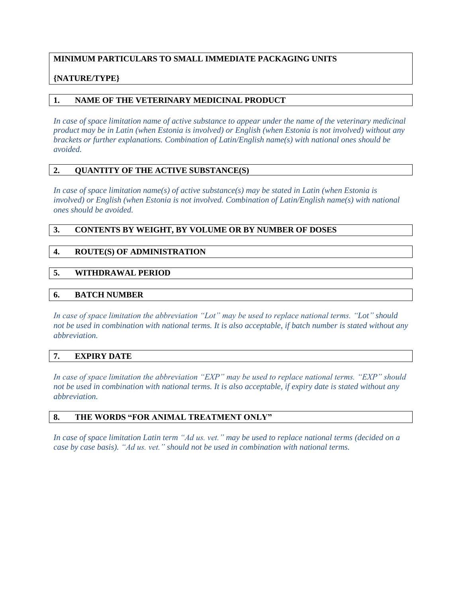# **MINIMUM PARTICULARS TO SMALL IMMEDIATE PACKAGING UNITS**

# **{NATURE/TYPE}**

# **1. NAME OF THE VETERINARY MEDICINAL PRODUCT**

*In case of space limitation name of active substance to appear under the name of the veterinary medicinal product may be in Latin (when Estonia is involved) or English (when Estonia is not involved) without any brackets or further explanations. Combination of Latin/English name(s) with national ones should be avoided.*

# **2. QUANTITY OF THE ACTIVE SUBSTANCE(S)**

*In case of space limitation name(s) of active substance(s) may be stated in Latin (when Estonia is involved) or English (when Estonia is not involved. Combination of Latin/English name(s) with national ones should be avoided.*

### **3. CONTENTS BY WEIGHT, BY VOLUME OR BY NUMBER OF DOSES**

#### **4. ROUTE(S) OF ADMINISTRATION**

### **5. WITHDRAWAL PERIOD**

#### **6. BATCH NUMBER**

*In case of space limitation the abbreviation "Lot" may be used to replace national terms. "Lot" should not be used in combination with national terms. It is also acceptable, if batch number is stated without any abbreviation.*

#### **7. EXPIRY DATE**

*In case of space limitation the abbreviation "EXP" may be used to replace national terms. "EXP" should not be used in combination with national terms. It is also acceptable, if expiry date is stated without any abbreviation.*

#### **8. THE WORDS "FOR ANIMAL TREATMENT ONLY"**

*In case of space limitation Latin term "Ad us. vet." may be used to replace national terms (decided on a case by case basis). "Ad us. vet." should not be used in combination with national terms.*